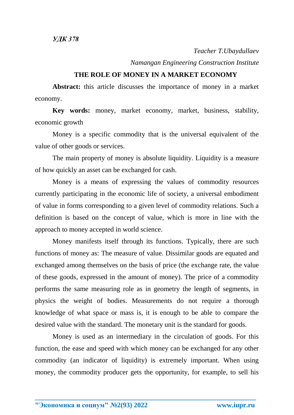*Teacher T.Ubaydullaev*

*Namangan Engineering Construction Institute*

## **THE ROLE OF MONEY IN A MARKET ECONOMY**

**Abstract:** this article discusses the importance of money in a market economy.

**Key words:** money, market economy, market, business, stability, economic growth

Money is a specific commodity that is the universal equivalent of the value of other goods or services.

The main property of money is absolute liquidity. Liquidity is a measure of how quickly an asset can be exchanged for cash.

Money is a means of expressing the values of commodity resources currently participating in the economic life of society, a universal embodiment of value in forms corresponding to a given level of commodity relations. Such a definition is based on the concept of value, which is more in line with the approach to money accepted in world science.

Money manifests itself through its functions. Typically, there are such functions of money as: The measure of value. Dissimilar goods are equated and exchanged among themselves on the basis of price (the exchange rate, the value of these goods, expressed in the amount of money). The price of a commodity performs the same measuring role as in geometry the length of segments, in physics the weight of bodies. Measurements do not require a thorough knowledge of what space or mass is, it is enough to be able to compare the desired value with the standard. The monetary unit is the standard for goods.

Money is used as an intermediary in the circulation of goods. For this function, the ease and speed with which money can be exchanged for any other commodity (an indicator of liquidity) is extremely important. When using money, the commodity producer gets the opportunity, for example, to sell his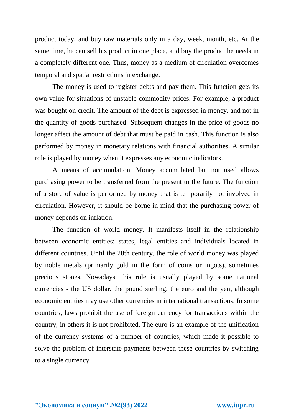product today, and buy raw materials only in a day, week, month, etc. At the same time, he can sell his product in one place, and buy the product he needs in a completely different one. Thus, money as a medium of circulation overcomes temporal and spatial restrictions in exchange.

The money is used to register debts and pay them. This function gets its own value for situations of unstable commodity prices. For example, a product was bought on credit. The amount of the debt is expressed in money, and not in the quantity of goods purchased. Subsequent changes in the price of goods no longer affect the amount of debt that must be paid in cash. This function is also performed by money in monetary relations with financial authorities. A similar role is played by money when it expresses any economic indicators.

A means of accumulation. Money accumulated but not used allows purchasing power to be transferred from the present to the future. The function of a store of value is performed by money that is temporarily not involved in circulation. However, it should be borne in mind that the purchasing power of money depends on inflation.

The function of world money. It manifests itself in the relationship between economic entities: states, legal entities and individuals located in different countries. Until the 20th century, the role of world money was played by noble metals (primarily gold in the form of coins or ingots), sometimes precious stones. Nowadays, this role is usually played by some national currencies - the US dollar, the pound sterling, the euro and the yen, although economic entities may use other currencies in international transactions. In some countries, laws prohibit the use of foreign currency for transactions within the country, in others it is not prohibited. The euro is an example of the unification of the currency systems of a number of countries, which made it possible to solve the problem of interstate payments between these countries by switching to a single currency.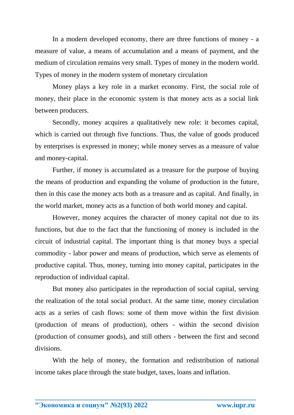In a modern developed economy, there are three functions of money - a measure of value, a means of accumulation and a means of payment, and the medium of circulation remains very small. Types of money in the modern world. Types of money in the modern system of monetary circulation

Money plays a key role in a market economy. First, the social role of money, their place in the economic system is that money acts as a social link between producers.

Secondly, money acquires a qualitatively new role: it becomes capital, which is carried out through five functions. Thus, the value of goods produced by enterprises is expressed in money; while money serves as a measure of value and money-capital.

Further, if money is accumulated as a treasure for the purpose of buying the means of production and expanding the volume of production in the future, then in this case the money acts both as a treasure and as capital. And finally, in the world market, money acts as a function of both world money and capital.

However, money acquires the character of money capital not due to its functions, but due to the fact that the functioning of money is included in the circuit of industrial capital. The important thing is that money buys a special commodity - labor power and means of production, which serve as elements of productive capital. Thus, money, turning into money capital, participates in the reproduction of individual capital.

But money also participates in the reproduction of social capital, serving the realization of the total social product. At the same time, money circulation acts as a series of cash flows: some of them move within the first division (production of means of production), others - within the second division (production of consumer goods), and still others - between the first and second divisions.

With the help of money, the formation and redistribution of national income takes place through the state budget, taxes, loans and inflation.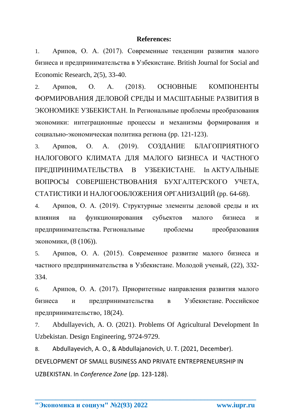## **References:**

1. Арипов, О. А. (2017). Современные тенденции развития малого бизнеса и предпринимательства в Узбекистане. British Journal for Social and Economic Research, 2(5), 33-40.

2. Арипов, О. А. (2018). ОСНОВНЫЕ КОМПОНЕНТЫ ФОРМИРОВАНИЯ ДЕЛОВОЙ СРЕДЫ И МАСШТАБНЫЕ РАЗВИТИЯ В ЭКОНОМИКЕ УЗБЕКИСТАН. In Региональные проблемы преобразования экономики: интеграционные процессы и механизмы формирования и социально-экономическая политика региона (pp. 121-123).

3. Арипов, О. А. (2019). СОЗДАНИЕ БЛАГОПРИЯТНОГО НАЛОГОВОГО КЛИМАТА ДЛЯ МАЛОГО БИЗНЕСА И ЧАСТНОГО ПРЕДПРИНИМАТЕЛЬСТВА В УЗБЕКИСТАНЕ. In АКТУАЛЬНЫЕ ВОПРОСЫ СОВЕРШЕНСТВОВАНИЯ БУХГАЛТЕРСКОГО УЧЕТА, СТАТИСТИКИ И НАЛОГООБЛОЖЕНИЯ ОРГАНИЗАЦИЙ (pp. 64-68).

4. Арипов, О. А. (2019). Структурные элементы деловой среды и их влияния на функционирования субъектов малого бизнеса и предпринимательства. Региональные проблемы преобразования экономики, (8 (106)).

5. Арипов, О. А. (2015). Современное развитие малого бизнеса и частного предпринимательства в Узбекистане. Молодой ученый, (22), 332- 334.

6. Арипов, О. А. (2017). Приоритетные направления развития малого бизнеса и предпринимательства в Узбекистане. Российское предпринимательство, 18(24).

7. Abdullayevich, A. O. (2021). Problems Of Agricultural Development In Uzbekistan. Design Engineering, 9724-9729.

8. Abdullayevich, A. O., & Abdullajanovich, U. T. (2021, December). DEVELOPMENT OF SMALL BUSINESS AND PRIVATE ENTREPRENEURSHIP IN UZBEKISTAN. In *Conference Zone* (pp. 123-128).

**\_\_\_\_\_\_\_\_\_\_\_\_\_\_\_\_\_\_\_\_\_\_\_\_\_\_\_\_\_\_\_\_\_\_\_\_\_\_\_\_\_\_\_\_\_\_\_\_\_\_\_\_\_\_\_\_\_\_\_\_\_\_\_\_**

**"Экономика и социум" №2(93) 2022 www.iupr.ru**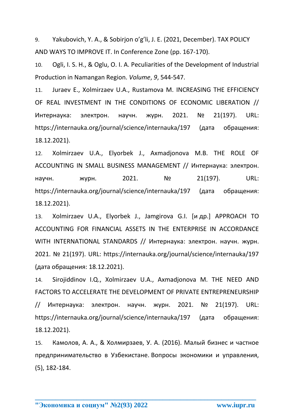9. Yakubovich, Y. A., & Sobirjon o'g'li, J. E. (2021, December). TAX POLICY AND WAYS TO IMPROVE IT. In Conference Zone (pp. 167-170).

10. Ogli, I. S. H., & Oglu, O. I. A. Peculiarities of the Development of Industrial Production in Namangan Region. *Volume*, *9*, 544-547.

11. Juraev E., Xolmirzaev U.A., Rustamova M. INCREASING THE EFFICIENCY OF REAL INVESTMENT IN THE CONDITIONS OF ECONOMIC LIBERATION // Интернаука: электрон. научн. журн. 2021. № 21(197). URL: https://internauka.org/journal/science/internauka/197 (дата обращения: 18.12.2021).

12. Xolmirzaev U.A., Elyorbek J., Axmadjonova M.B. THE ROLE OF ACCOUNTING IN SMALL BUSINESS MANAGEMENT // Интернаука: электрон. научн. журн. 2021. № 21(197). URL: https://internauka.org/journal/science/internauka/197 (дата обращения: 18.12.2021).

13. Xolmirzaev U.A., Elyorbek J., Jamgirova G.I. [и др.] APPROACH TO ACCOUNTING FOR FINANCIAL ASSETS IN THE ENTERPRISE IN ACCORDANCE WITH INTERNATIONAL STANDARDS // Интернаука: электрон. научн. журн. 2021. № 21(197). URL: https://internauka.org/journal/science/internauka/197 (дата обращения: 18.12.2021).

14. Sirojiddinov I.Q., Xolmirzaev U.A., Axmadjonova M. THE NEED AND FACTORS TO ACCELERATE THE DEVELOPMENT OF PRIVATE ENTREPRENEURSHIP // Интернаука: электрон. научн. журн. 2021. № 21(197). URL: https://internauka.org/journal/science/internauka/197 (дата обращения: 18.12.2021).

15. Камолов, А. А., & Холмирзаев, У. А. (2016). Малый бизнес и частное предпринимательство в Узбекистане. Вопросы экономики и управления, (5), 182-184.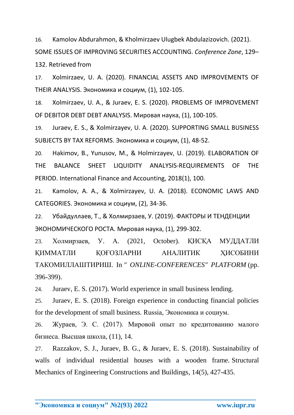16. Kamolov Abdurahmon, & Kholmirzaev Ulugbek Abdulazizovich. (2021). SOME ISSUES OF IMPROVING SECURITIES ACCOUNTING. *Conference Zone*, 129– 132. Retrieved from

17. Xolmirzaev, U. A. (2020). FINANCIAL ASSETS AND IMPROVEMENTS OF THEIR ANALYSIS. Экономика и социум, (1), 102-105.

18. Xolmirzaev, U. A., & Juraev, E. S. (2020). PROBLEMS OF IMPROVEMENT OF DEBITOR DEBT DEBT ANALYSIS. Мировая наука, (1), 100-105.

19. Juraev, E. S., & Xolmirzayev, U. A. (2020). SUPPORTING SMALL BUSINESS SUBJECTS BY TAX REFORMS. Экономика и социум, (1), 48-52.

20. Hakimov, B., Yunusov, M., & Holmirzayev, U. (2019). ELABORATION OF THE BALANCE SHEET LIQUIDITY ANALYSIS-REQUIREMENTS OF THE PERIOD. International Finance and Accounting, 2018(1), 100.

21. Kamolov, A. A., & Xolmirzayev, U. A. (2018). ECONOMIC LAWS AND CATEGORIES. Экономика и социум, (2), 34-36.

22. Убайдуллаев, Т., & Холмирзаев, У. (2019). ФАКТОРЫ И ТЕНДЕНЦИИ ЭКОНОМИЧЕСКОГО РОСТА. Мировая наука, (1), 299-302.

23. Холмирзаев, У. А. (2021, October). ҚИСҚА МУДДАТЛИ ҚИММАТЛИ ҚОҒОЗЛАРНИ АНАЛИТИК ҲИСОБИНИ ТАКОМИЛЛАШТИРИШ. In *" ONLINE-CONFERENCES" PLATFORM* (pp. 396-399).

24. Juraev, E. S. (2017). World experience in small business lending.

25. Juraev, E. S. (2018). Foreign experience in conducting financial policies for the development of small business. Russia, Экономика и социум.

26. Жураев, Э. С. (2017). Мировой опыт по кредитованию малого бизнеса. Высшая школа, (11), 14.

27. Razzakov, S. J., Juraev, B. G., & Juraev, E. S. (2018). Sustainability of walls of individual residential houses with a wooden frame. Structural Mechanics of Engineering Constructions and Buildings, 14(5), 427-435.